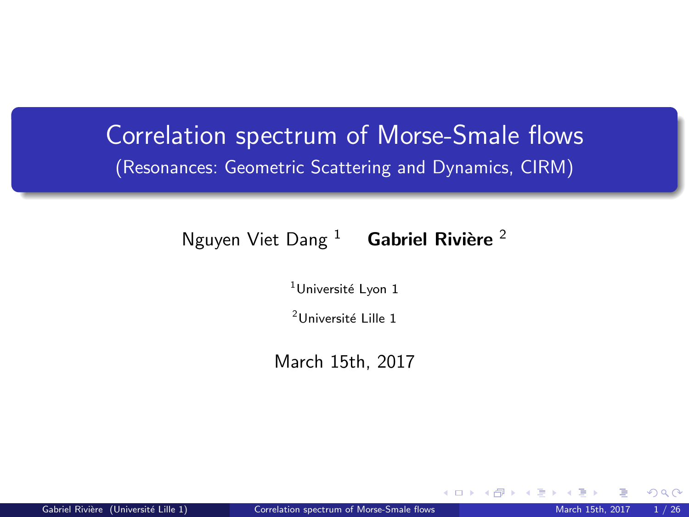## Correlation spectrum of Morse-Smale flows (Resonances: Geometric Scattering and Dynamics, CIRM)

### Nguyen Viet Dang  $1$  Gabriel Rivière  $2$

 $1$ Université Lyon 1

<sup>2</sup>Université Lille 1

March 15th, 2017

<span id="page-0-0"></span> $\Omega$ 

**K ロ ▶ K 何 ▶ K 手**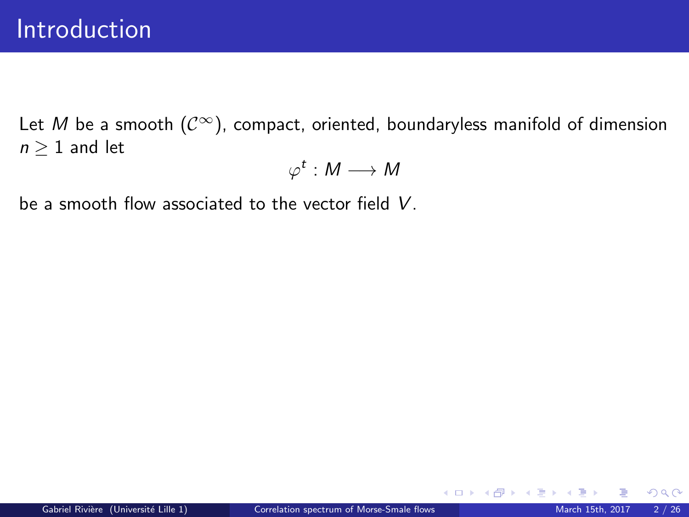Let M be a smooth  $(\mathcal{C}^{\infty})$ , compact, oriented, boundaryless manifold of dimension  $n \geq 1$  and let

$$
\varphi^t:M\longrightarrow M
$$

be a smooth flow associated to the vector field V.

 $\Omega$ 

メロト メ都 トメ ミトメ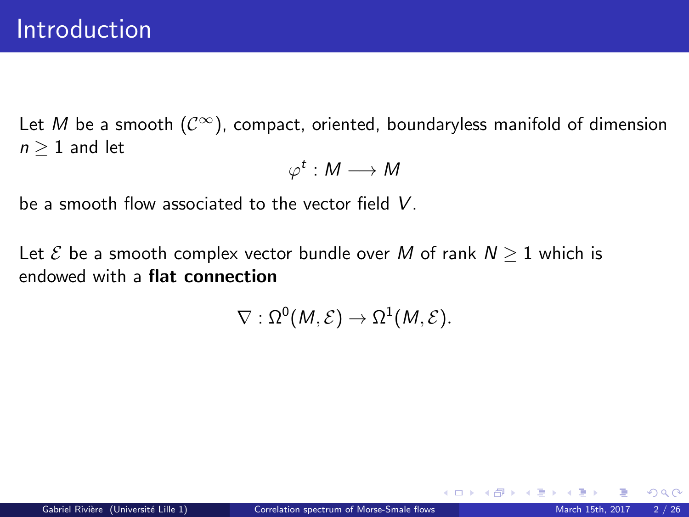Let M be a smooth  $(\mathcal{C}^{\infty})$ , compact, oriented, boundaryless manifold of dimension  $n \geq 1$  and let

$$
\varphi^t:M\longrightarrow M
$$

be a smooth flow associated to the vector field V.

Let  $\mathcal E$  be a smooth complex vector bundle over M of rank  $N \geq 1$  which is endowed with a flat connection

$$
\nabla:\Omega^0(M,\mathcal{E})\to\Omega^1(M,\mathcal{E}).
$$

 $209$ 

K ロ ▶ K 御 ▶ K 경 ▶ K 경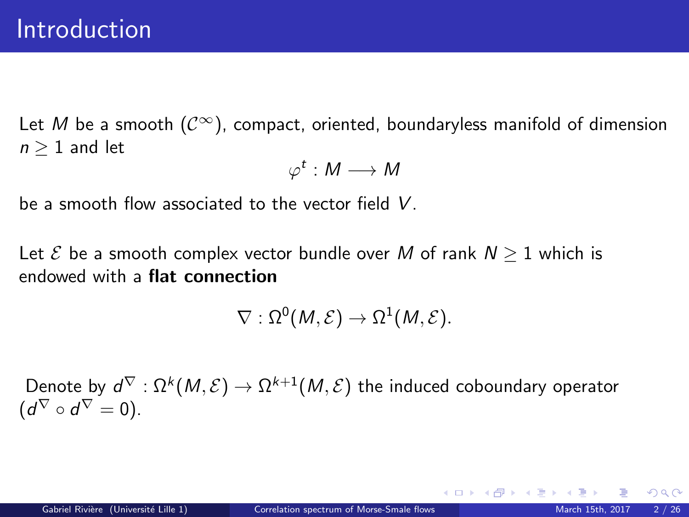Let M be a smooth  $(\mathcal{C}^{\infty})$ , compact, oriented, boundaryless manifold of dimension  $n \geq 1$  and let

$$
\varphi^t:M\longrightarrow M
$$

be a smooth flow associated to the vector field V.

Let  $\mathcal E$  be a smooth complex vector bundle over M of rank  $N \geq 1$  which is endowed with a flat connection

$$
\nabla:\Omega^0(M,\mathcal{E})\to\Omega^1(M,\mathcal{E}).
$$

Denote by  $d^\nabla:\Omega^k(M,\mathcal{E})\to\Omega^{k+1}(M,\mathcal{E})$  the induced coboundary operator  $(d^{\nabla} \circ d^{\nabla} = 0).$ 

メロメ メ御き メミメ メミメ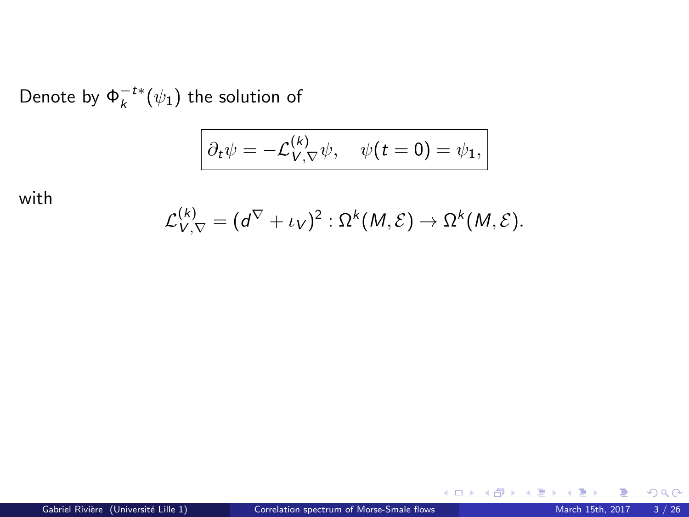Denote by  $\Phi_k^{-t*}(\psi_1)$  the solution of

$$
\partial_t \psi = -\mathcal{L}_{V,\nabla}^{(k)} \psi, \quad \psi(t=0) = \psi_1,
$$

with

$$
\mathcal{L}_{V,\nabla}^{(k)} = (d^{\nabla} + \iota_V)^2 : \Omega^k(M,\mathcal{E}) \to \Omega^k(M,\mathcal{E}).
$$

Þ

 $299$ 

メロメ メタメ メミメ メ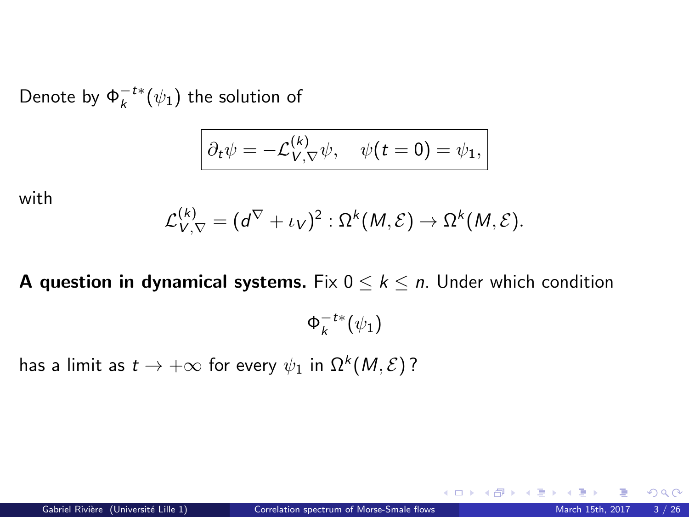Denote by  $\Phi_k^{-t*}(\psi_1)$  the solution of

$$
\partial_t \psi = -\mathcal{L}_{V,\nabla}^{(k)} \psi, \quad \psi(t=0) = \psi_1,
$$

with

$$
\mathcal{L}_{V,\nabla}^{(k)} = (d^{\nabla} + \iota_V)^2 : \Omega^k(M,\mathcal{E}) \to \Omega^k(M,\mathcal{E}).
$$

**A question in dynamical systems.** Fix  $0 \leq k \leq n$ . Under which condition

 $\Phi_k^{-t*}(\psi_1)$ 

has a limit as  $t\to +\infty$  for every  $\psi_1$  in  $\Omega^k(\mathcal{M},\mathcal{E})$  ?

 $\Omega$ 

**K ロ ▶ | K 御 ▶ | K 唐 ▶** |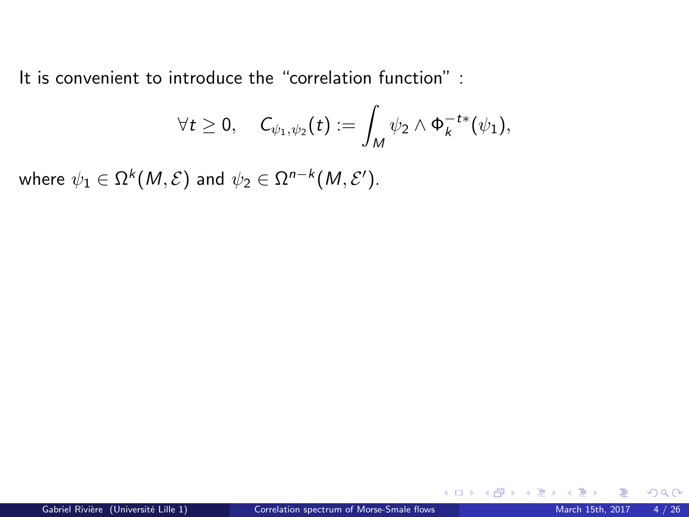It is convenient to introduce the "correlation function" :

$$
\forall t \geq 0, \quad C_{\psi_1, \psi_2}(t) := \int_M \psi_2 \wedge \Phi_k^{-t*}(\psi_1),
$$

where  $\psi_1 \in \Omega^k(M, \mathcal{E})$  and  $\psi_2 \in \Omega^{n-k}(M, \mathcal{E}').$ 

 $\Omega$ 

**K ロ ト K 倒 ト K ミ ト**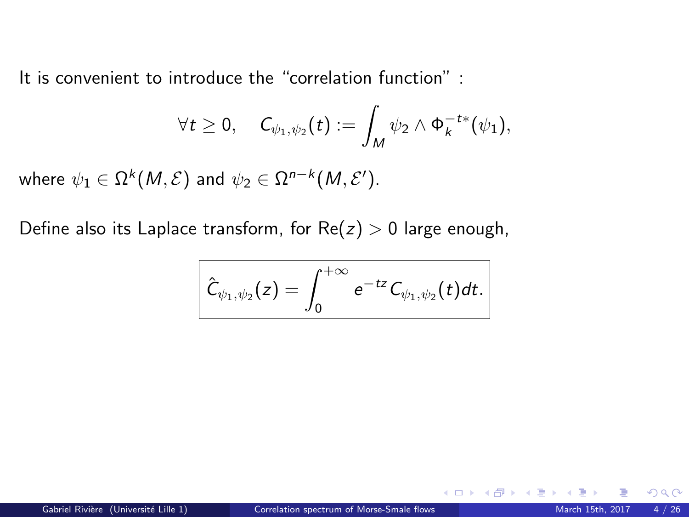It is convenient to introduce the "correlation function" :

$$
\forall t \geq 0, \quad C_{\psi_1, \psi_2}(t) := \int_M \psi_2 \wedge \Phi_k^{-t*}(\psi_1),
$$

where  $\psi_1 \in \Omega^k(M, \mathcal{E})$  and  $\psi_2 \in \Omega^{n-k}(M, \mathcal{E}').$ 

Define also its Laplace transform, for  $Re(z) > 0$  large enough,

$$
\left|\hat{\mathcal{C}}_{\psi_1,\psi_2}(z)=\int_0^{+\infty}e^{-tz}\mathcal{C}_{\psi_1,\psi_2}(t)dt.\right|
$$

 $\Omega$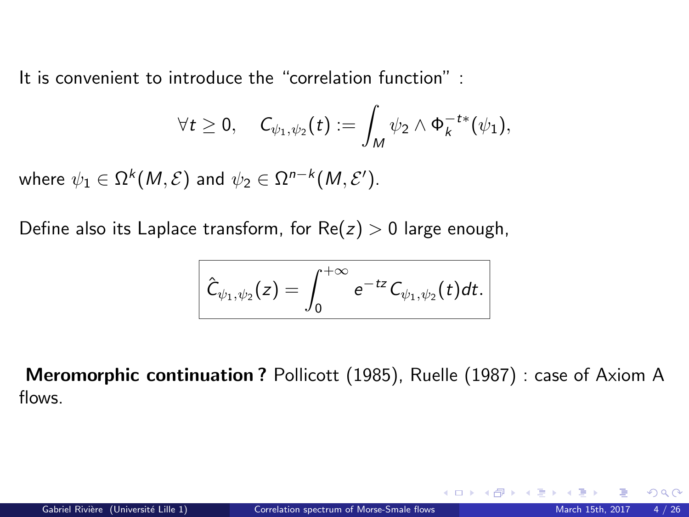It is convenient to introduce the "correlation function" :

$$
\forall t \geq 0, \quad C_{\psi_1, \psi_2}(t) := \int_M \psi_2 \wedge \Phi_k^{-t*}(\psi_1),
$$

where  $\psi_1 \in \Omega^k(M, \mathcal{E})$  and  $\psi_2 \in \Omega^{n-k}(M, \mathcal{E}').$ 

Define also its Laplace transform, for  $Re(z) > 0$  large enough,

$$
\left|\hat{\mathcal{C}}_{\psi_1,\psi_2}(z)=\int_0^{+\infty}e^{-tz}\mathcal{C}_{\psi_1,\psi_2}(t)dt.\right|
$$

Meromorphic continuation ? Pollicott (1985), Ruelle (1987) : case of Axiom A flows.

**K ロ ト K 倒 ト K 差 ト K**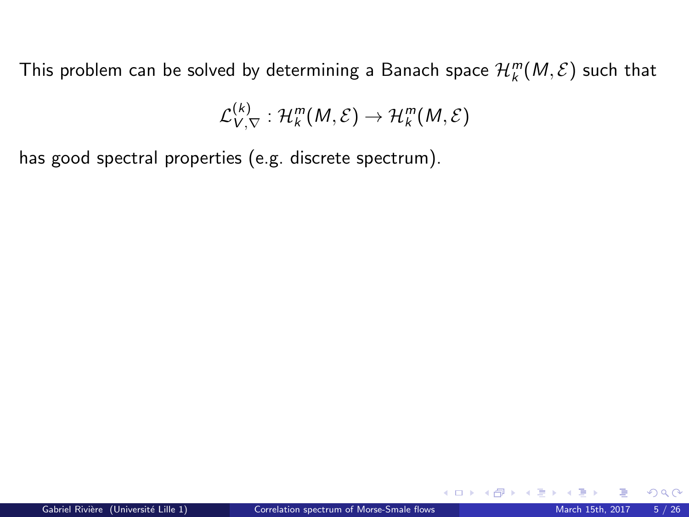$$
\mathcal{L}_{V,\nabla}^{(k)}:\mathcal{H}_k^m(M,\mathcal{E})\to\mathcal{H}_k^m(M,\mathcal{E})
$$

has good spectral properties (e.g. discrete spectrum).

 $\Omega$ 

 $4$  O  $\rightarrow$   $4$   $\overline{m}$   $\rightarrow$   $4$   $\overline{m}$   $\rightarrow$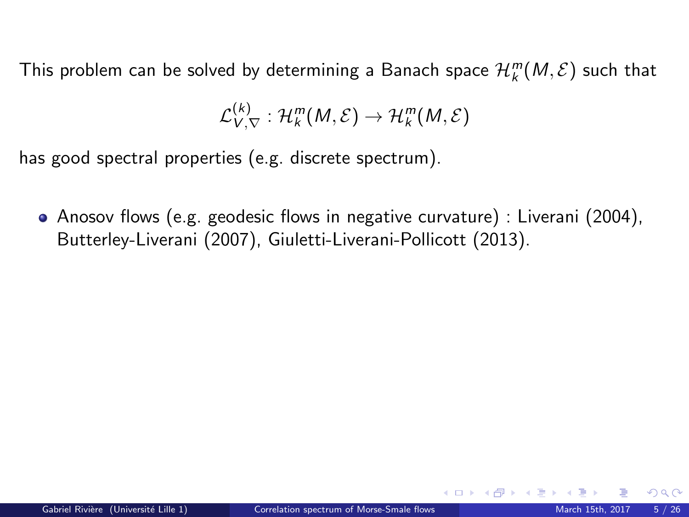$$
\mathcal{L}_{V,\nabla}^{(k)}: \mathcal{H}_k^m(M,\mathcal{E}) \to \mathcal{H}_k^m(M,\mathcal{E})
$$

has good spectral properties (e.g. discrete spectrum).

Anosov flows (e.g. geodesic flows in negative curvature) : Liverani (2004), Butterley-Liverani (2007), Giuletti-Liverani-Pollicott (2013).

 $\Omega$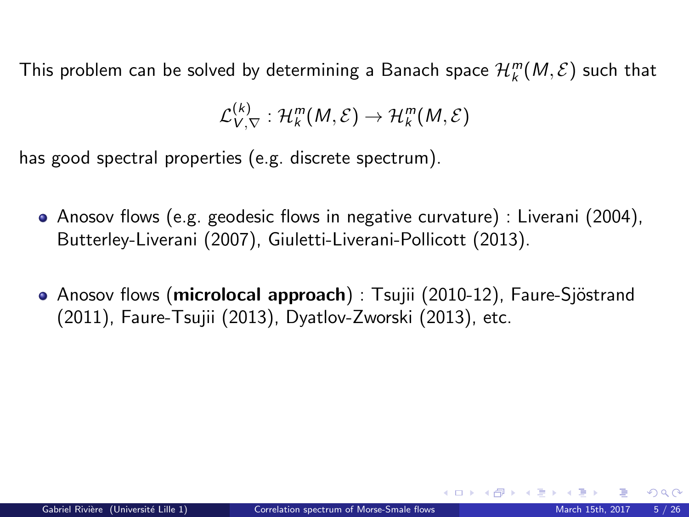$$
\mathcal{L}_{V,\nabla}^{(k)}: \mathcal{H}_k^m(M,\mathcal{E}) \to \mathcal{H}_k^m(M,\mathcal{E})
$$

has good spectral properties (e.g. discrete spectrum).

- Anosov flows (e.g. geodesic flows in negative curvature) : Liverani (2004), Butterley-Liverani (2007), Giuletti-Liverani-Pollicott (2013).
- Anosov flows (microlocal approach) : Tsujii (2010-12), Faure-Sjöstrand (2011), Faure-Tsujii (2013), Dyatlov-Zworski (2013), etc.

イロト イ押 トイヨ トイヨ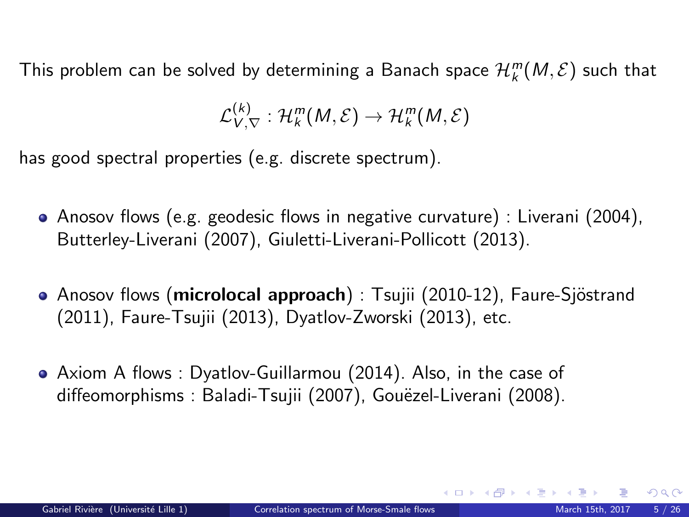$$
\mathcal{L}_{V,\nabla}^{(k)}: \mathcal{H}_k^m(M,\mathcal{E}) \to \mathcal{H}_k^m(M,\mathcal{E})
$$

has good spectral properties (e.g. discrete spectrum).

- Anosov flows (e.g. geodesic flows in negative curvature) : Liverani (2004), Butterley-Liverani (2007), Giuletti-Liverani-Pollicott (2013).
- **Anosov flows (microlocal approach)** : Tsujii (2010-12), Faure-Sjöstrand (2011), Faure-Tsujii (2013), Dyatlov-Zworski (2013), etc.
- Axiom A flows : Dyatlov-Guillarmou (2014). Also, in the case of diffeomorphisms : Baladi-Tsujii (2007), Gouëzel-Liverani (2008).

 $\Omega$ 

メロト メ御 トメ ヨ トメ ヨト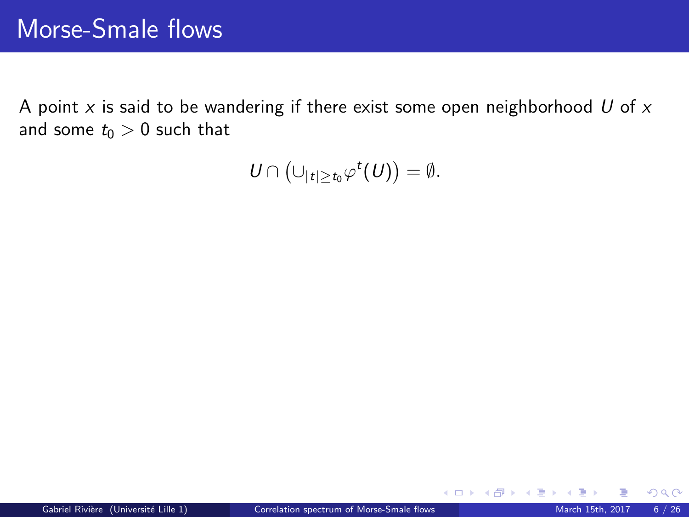A point  $x$  is said to be wandering if there exist some open neighborhood  $U$  of  $x$ and some  $t_0 > 0$  such that

 $U \cap (\cup_{|t| \ge t_0} \varphi^t(U)) = \emptyset.$ 

 $\Omega$ 

メロト メ都 トメ ミトメ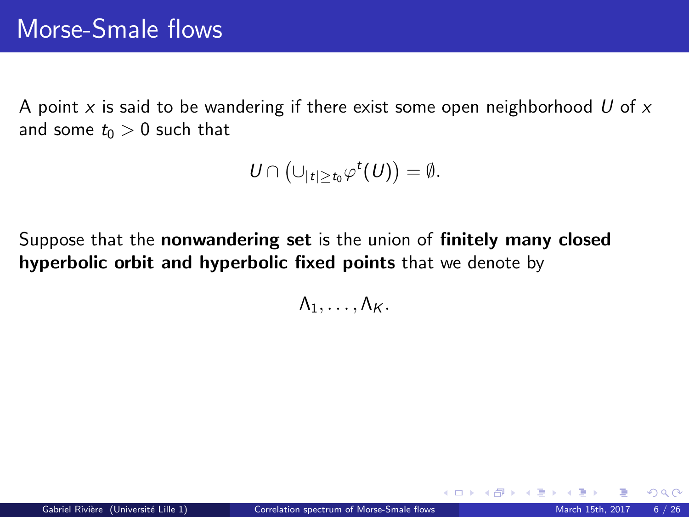A point x is said to be wandering if there exist some open neighborhood U of  $x$ and some  $t_0 > 0$  such that

$$
U\cap \left(\cup_{|t|\geq t_0}\varphi^t(U)\right)=\emptyset.
$$

Suppose that the nonwandering set is the union of finitely many closed hyperbolic orbit and hyperbolic fixed points that we denote by

 $\Lambda_1, \ldots, \Lambda_K$ .

 $\Omega$ 

メロト メ都 トメ ミトメ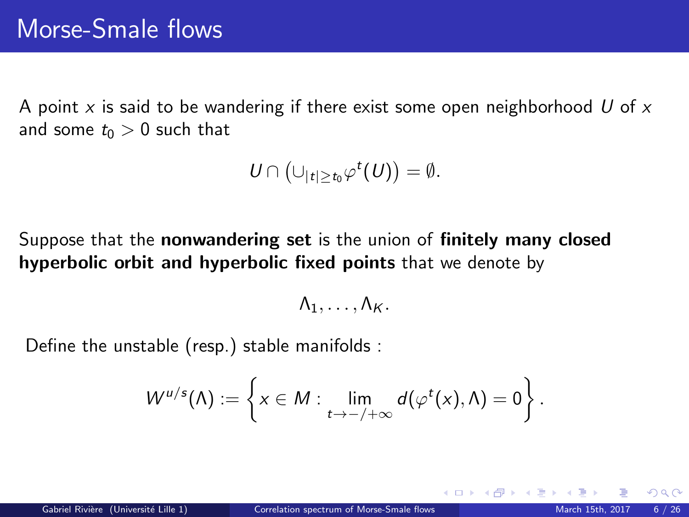A point x is said to be wandering if there exist some open neighborhood U of  $x$ and some  $t_0 > 0$  such that

$$
U\cap \left(\cup_{|t|\geq t_0}\varphi^t(U)\right)=\emptyset.
$$

Suppose that the nonwandering set is the union of finitely many closed hyperbolic orbit and hyperbolic fixed points that we denote by

$$
\Lambda_1,\ldots,\Lambda_K.
$$

Define the unstable (resp.) stable manifolds :

$$
W^{u/s}(\Lambda) := \left\{ x \in M : \lim_{t \to -/\infty} d(\varphi^t(x), \Lambda) = 0 \right\}.
$$

 $\Omega$ 

**K ロ ⊁ K 倒 ≯ K 差 ≯ K**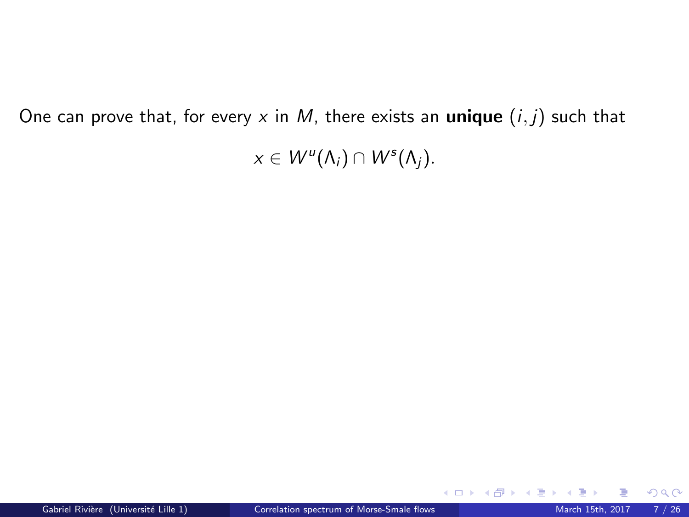One can prove that, for every x in M, there exists an unique  $(i, j)$  such that

 $x \in W^u(\Lambda_i) \cap W^s(\Lambda_j)$ .

 $299$ 

**K ロ ト K 倒 ト K ミ ト**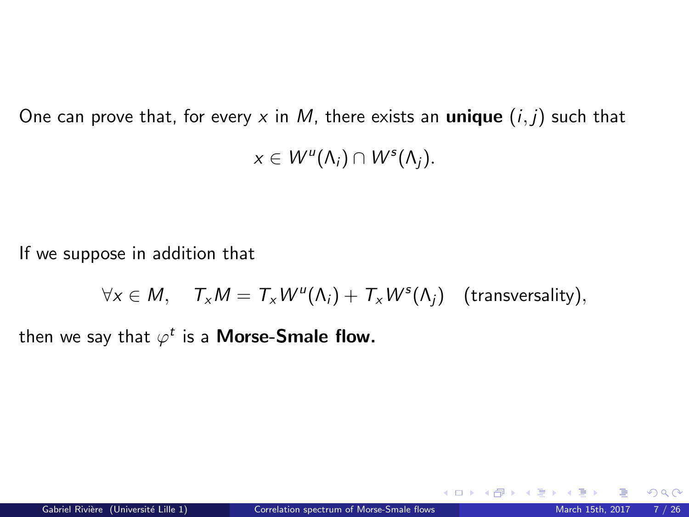One can prove that, for every x in M, there exists an **unique**  $(i, j)$  such that  $x \in W^u(\Lambda_i) \cap W^s(\Lambda_j)$ .

If we suppose in addition that

 $\forall x \in M$ ,  $\mathcal{T}_x M = \mathcal{T}_x W^u(\Lambda_i) + \mathcal{T}_x W^s(\Lambda_j)$  (transversality),

then we say that  $\varphi^t$  is a **Morse-Smale flow.** 

 $\Omega$ 

 $\left\{ \begin{array}{ccc} 1 & 0 & 0 \\ 0 & 1 & 0 \end{array} \right\}$  ,  $\left\{ \begin{array}{ccc} 0 & 0 & 0 \\ 0 & 0 & 0 \end{array} \right\}$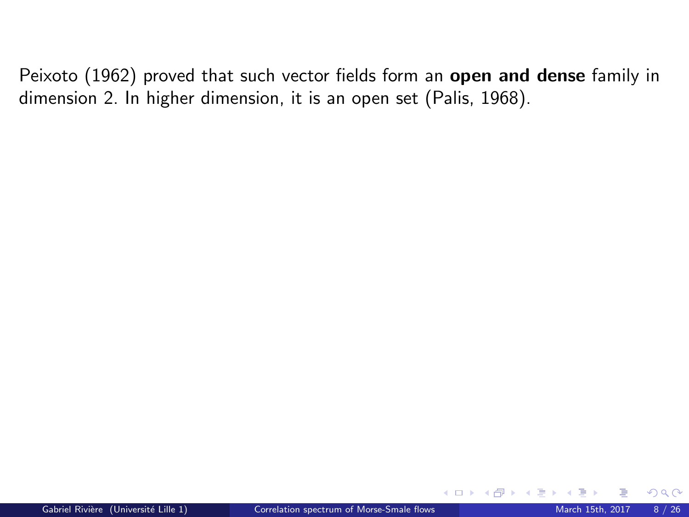$\Omega$ 

**K ロ ⊁ K 倒 ≯ K 差 ≯ K**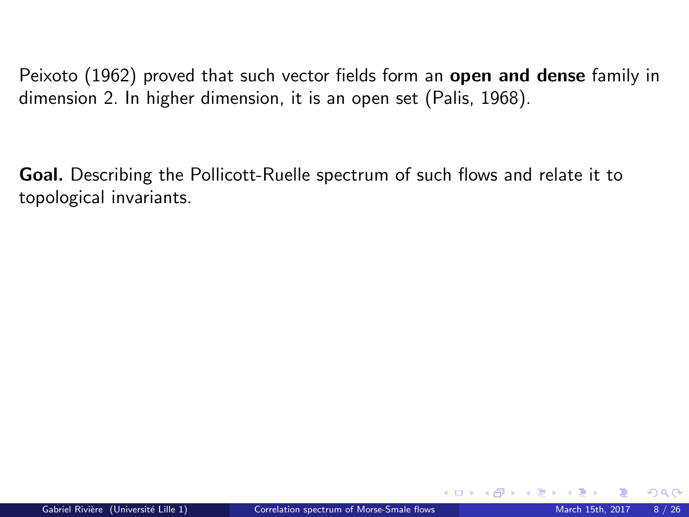Goal. Describing the Pollicott-Ruelle spectrum of such flows and relate it to topological invariants.

 $\Omega$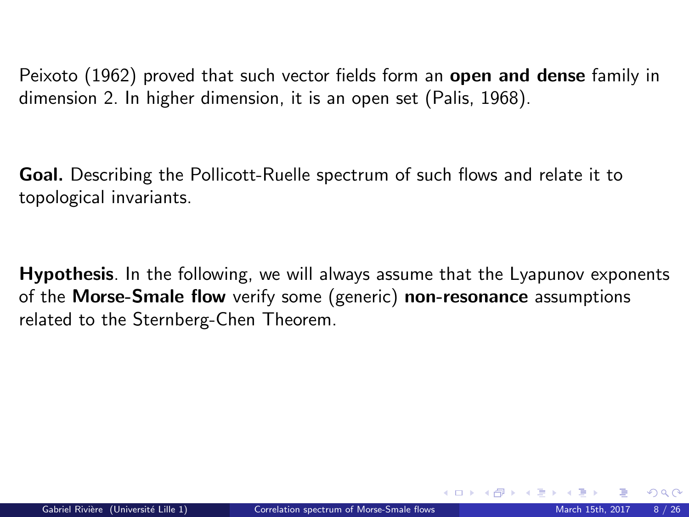Goal. Describing the Pollicott-Ruelle spectrum of such flows and relate it to topological invariants.

Hypothesis. In the following, we will always assume that the Lyapunov exponents of the Morse-Smale flow verify some (generic) non-resonance assumptions related to the Sternberg-Chen Theorem.

 $\Omega$ 

イロト イ押ト イヨト イ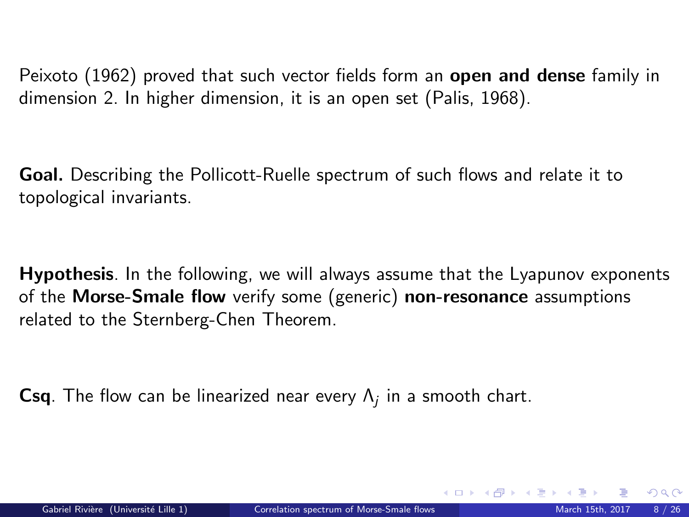Goal. Describing the Pollicott-Ruelle spectrum of such flows and relate it to topological invariants.

Hypothesis. In the following, we will always assume that the Lyapunov exponents of the Morse-Smale flow verify some (generic) non-resonance assumptions related to the Sternberg-Chen Theorem.

 $\mathsf{Csq}$ . The flow can be linearized near every  $\mathsf{\Lambda}_j$  in a smooth chart.

メロメ メタメ メミメ メミ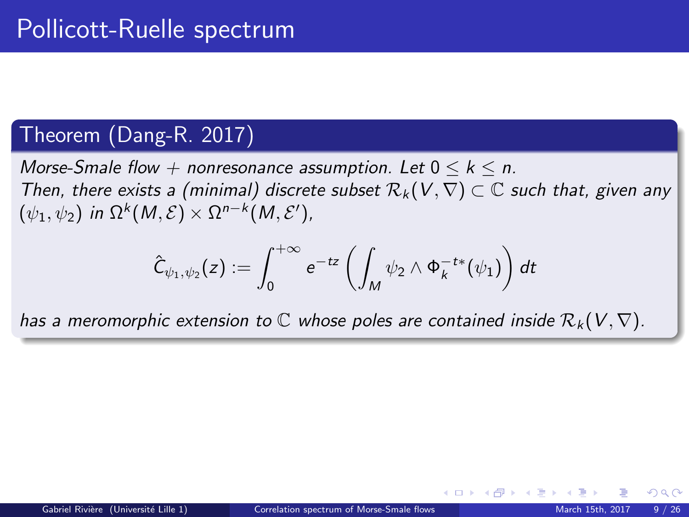### Theorem (Dang-R. 2017)

Morse-Smale flow + nonresonance assumption. Let  $0 \leq k \leq n$ . Then, there exists a (minimal) discrete subset  $\mathcal{R}_k(V,\nabla) \subset \mathbb{C}$  such that, given any  $(\psi_1, \psi_2)$  in  $\Omega^k(M, \mathcal{E}) \times \Omega^{n-k}(M, \mathcal{E}'),$ 

$$
\hat{\mathsf{C}}_{\psi_1,\psi_2}(z):=\int_0^{+\infty}e^{-tz}\left(\int_M\psi_2\wedge\Phi_k^{-t*}(\psi_1)\right)dt
$$

has a meromorphic extension to  $\mathbb C$  whose poles are contained inside  $\mathcal{R}_k(V,\nabla)$ .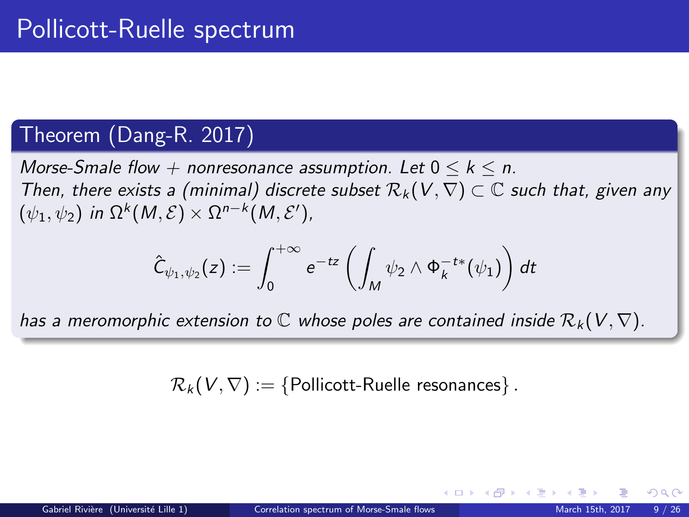### Theorem (Dang-R. 2017)

Morse-Smale flow  $+$  nonresonance assumption. Let  $0 \leq k \leq n$ . Then, there exists a (minimal) discrete subset  $\mathcal{R}_k(V,\nabla) \subset \mathbb{C}$  such that, given any  $(\psi_1, \psi_2)$  in  $\Omega^k(M, \mathcal{E}) \times \Omega^{n-k}(M, \mathcal{E}'),$ 

$$
\hat{\mathsf{C}}_{\psi_1,\psi_2}(z):=\int_0^{+\infty}e^{-tz}\left(\int_M\psi_2\wedge\Phi_k^{-t*}(\psi_1)\right)dt
$$

has a meromorphic extension to  $\mathbb C$  whose poles are contained inside  $\mathcal{R}_k(V,\nabla)$ .

 $\mathcal{R}_k(V, \nabla) := \{$  Pollicott-Ruelle resonances }.

メロメ メ都 メメ ミメ メミメ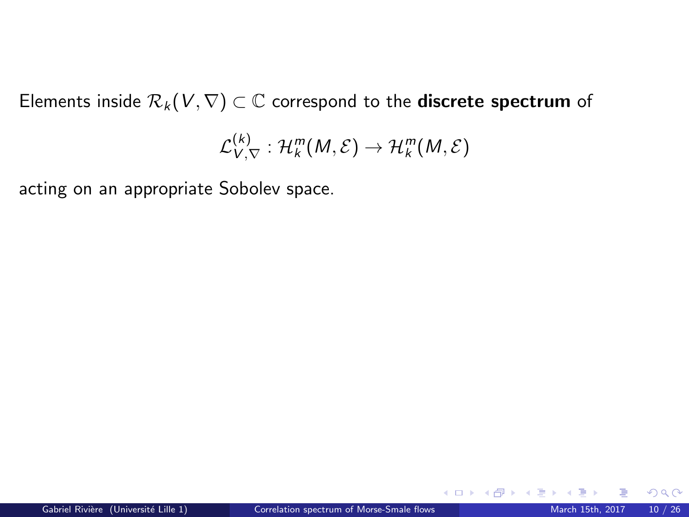Elements inside  $\mathcal{R}_k(V, \nabla) \subset \mathbb{C}$  correspond to the **discrete spectrum** of

$$
\mathcal{L}_{V,\nabla}^{(k)}:\mathcal{H}_k^m(M,\mathcal{E})\to\mathcal{H}_k^m(M,\mathcal{E})
$$

acting on an appropriate Sobolev space.

 $\Omega$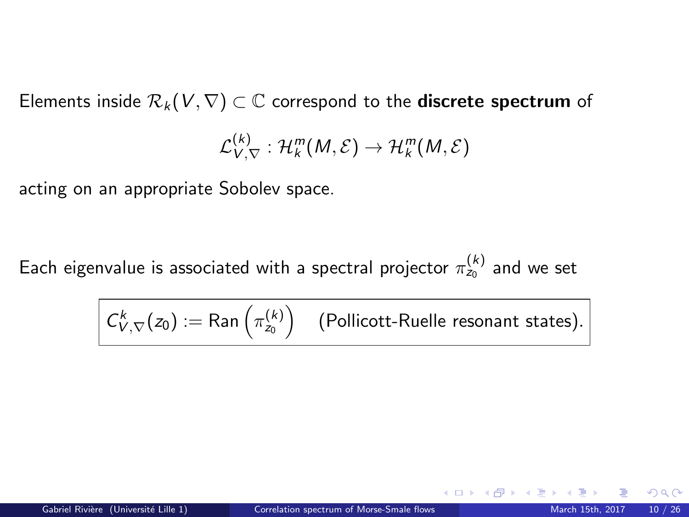Elements inside  $\mathcal{R}_k(V,\nabla) \subset \mathbb{C}$  correspond to the **discrete spectrum** of

$$
\mathcal{L}_{V,\nabla}^{(k)}:\mathcal{H}_k^m(M,\mathcal{E})\to\mathcal{H}_k^m(M,\mathcal{E})
$$

acting on an appropriate Sobolev space.

Each eigenvalue is associated with a spectral projector  $\pi_{z_0}^{(k)}$  and we set

$$
\left| C_{V,\nabla}^k(z_0) := \mathsf{Ran}\left( \pi_{z_0}^{(k)} \right) \right| \text{ (Pollicott-Ruelle resonant states).}
$$

 $\Omega$ 

**K ロ ト K 何 ト K 目**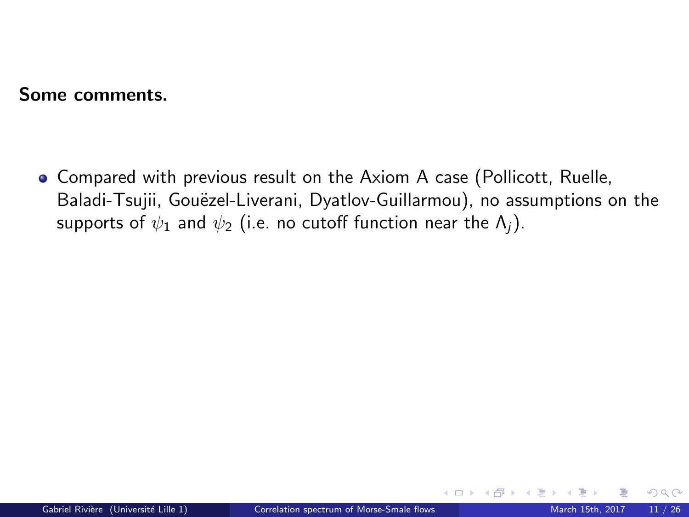Compared with previous result on the Axiom A case (Pollicott, Ruelle, Baladi-Tsujii, Gouëzel-Liverani, Dyatlov-Guillarmou), no assumptions on the supports of  $\psi_1$  and  $\psi_2$  (i.e. no cutoff function near the  $\Lambda_i$ ).

 $\Omega$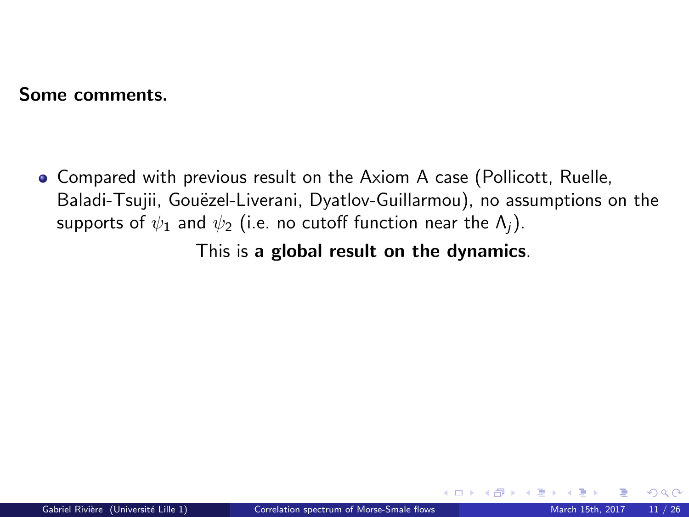Compared with previous result on the Axiom A case (Pollicott, Ruelle, Baladi-Tsujii, Gouëzel-Liverani, Dyatlov-Guillarmou), no assumptions on the supports of  $\psi_1$  and  $\psi_2$  (i.e. no cutoff function near the  $\Lambda_i$ ).

This is a global result on the dynamics.

 $\Omega$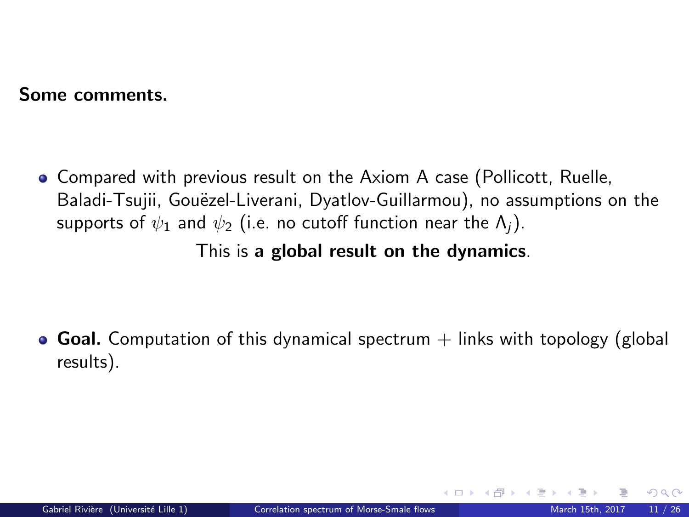Compared with previous result on the Axiom A case (Pollicott, Ruelle, Baladi-Tsujii, Gouëzel-Liverani, Dyatlov-Guillarmou), no assumptions on the supports of  $\psi_1$  and  $\psi_2$  (i.e. no cutoff function near the  $\Lambda_i$ ).

This is a global result on the dynamics.

**Goal.** Computation of this dynamical spectrum  $+$  links with topology (global results).

<span id="page-28-0"></span> $\Omega$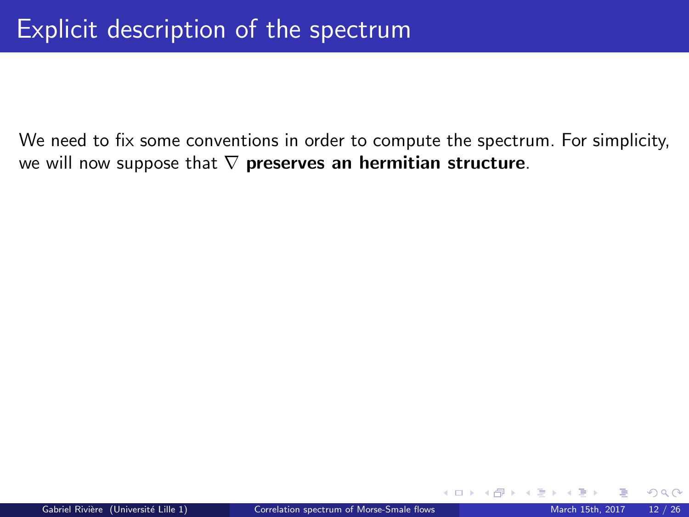We need to fix some conventions in order to compute the spectrum. For simplicity, we will now suppose that  $\nabla$  preserves an hermitian structure.

<span id="page-29-0"></span> $\Omega$ 

4 ロ > 4 何 > 4 手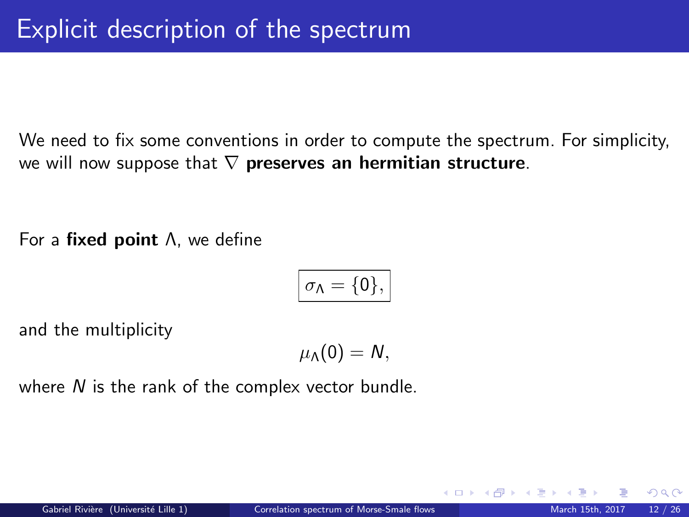We need to fix some conventions in order to compute the spectrum. For simplicity, we will now suppose that  $\nabla$  preserves an hermitian structure.

For a fixed point Λ, we define

$$
\sigma_{\Lambda}=\{0\},
$$

and the multiplicity

 $\mu_\Lambda(0) = N$ ,

where  $N$  is the rank of the complex vector bundle.

 $\Omega$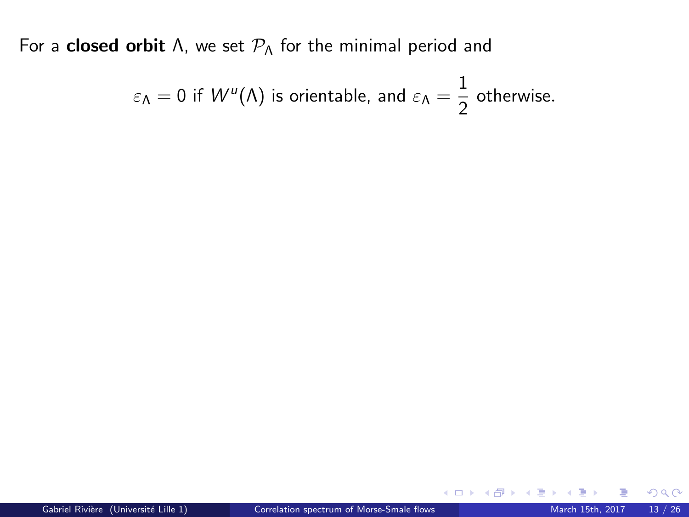$$
\varepsilon_{\Lambda} = 0
$$
 if  $W^u(\Lambda)$  is orientable, and  $\varepsilon_{\Lambda} = \frac{1}{2}$  otherwise.

 $299$ 

**K ロ ト K 倒 ト K ミ ト**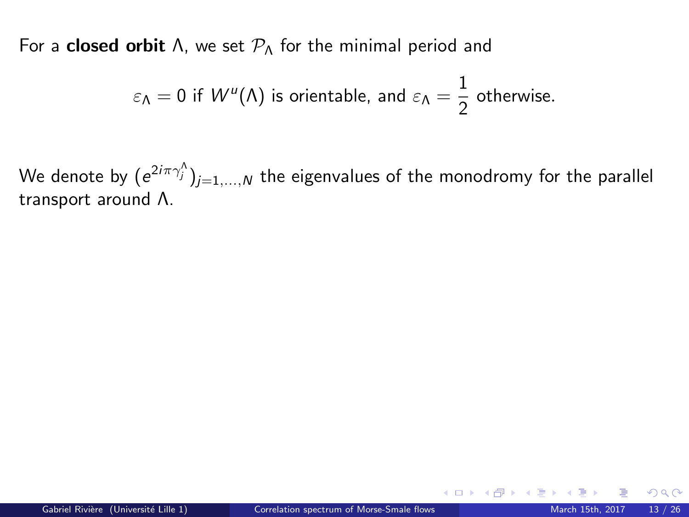$$
\varepsilon_{\Lambda} = 0
$$
 if  $W^u(\Lambda)$  is orientable, and  $\varepsilon_{\Lambda} = \frac{1}{2}$  otherwise.

We denote by  $(\mathrm{e}^{2i\pi \gamma_j^\wedge})_{j=1,...,N}$  the eigenvalues of the monodromy for the parallel transport around Λ.

 $\Omega$ 

**K ロ ト K 御 ト K ミ ト**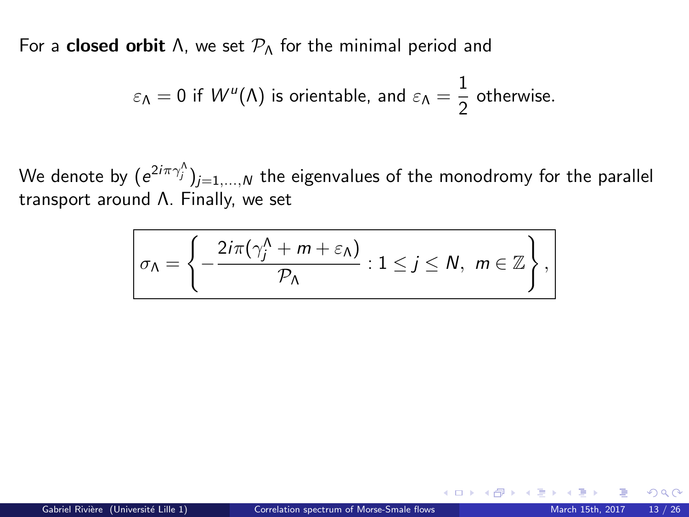$$
\varepsilon_{\Lambda} = 0
$$
 if  $W^u(\Lambda)$  is orientable, and  $\varepsilon_{\Lambda} = \frac{1}{2}$  otherwise.

We denote by  $(\mathrm{e}^{2i\pi \gamma_j^\wedge})_{j=1,...,N}$  the eigenvalues of the monodromy for the parallel transport around Λ. Finally, we set

$$
\sigma_{\Lambda} = \left\{-\frac{2i\pi(\gamma_j^{\Lambda} + m + \varepsilon_{\Lambda})}{\mathcal{P}_{\Lambda}} : 1 \leq j \leq N, \ m \in \mathbb{Z}\right\},\
$$

 $\Omega$ 

**K ロ ト K 御 ト K ミ ト**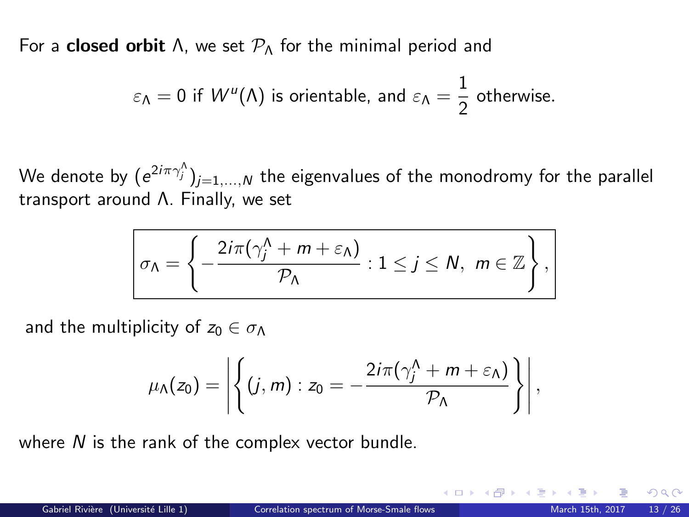$$
\varepsilon_{\Lambda} = 0
$$
 if  $W^u(\Lambda)$  is orientable, and  $\varepsilon_{\Lambda} = \frac{1}{2}$  otherwise.

We denote by  $(\mathrm{e}^{2i\pi \gamma_j^\wedge})_{j=1,...,N}$  the eigenvalues of the monodromy for the parallel transport around Λ. Finally, we set

$$
\sigma_{\Lambda} = \left\{ -\frac{2i\pi(\gamma_j^{\Lambda} + m + \varepsilon_{\Lambda})}{\mathcal{P}_{\Lambda}} : 1 \leq j \leq N, \ m \in \mathbb{Z} \right\},\
$$

and the multiplicity of  $z_0 \in \sigma_{\Lambda}$ 

$$
\mu_{\Lambda}(z_0)=\left|\left\{(j,m):z_0=-\frac{2i\pi(\gamma_j^{\Lambda}+m+\varepsilon_{\Lambda})}{\mathcal{P}_{\Lambda}}\right\}\right|,
$$

where  $N$  is the rank of the complex vector bundle.

**K ロ ト K 御 ト K ミ ト**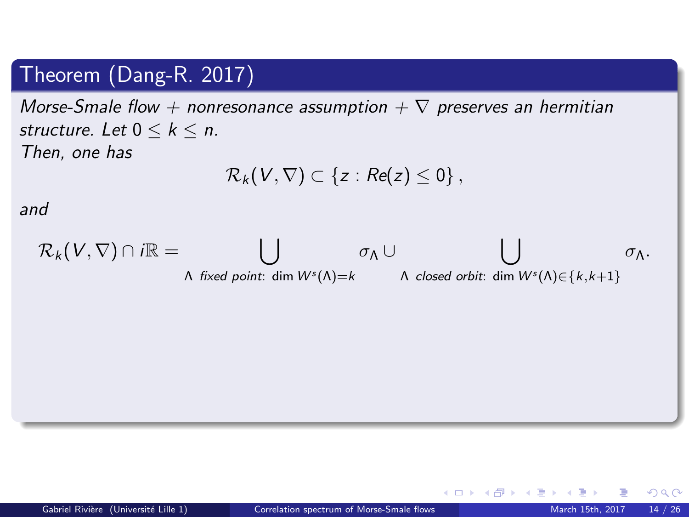## Theorem (Dang-R. 2017)

Morse-Smale flow + nonresonance assumption  $+ \nabla$  preserves an hermitian structure. Let  $0 \leq k \leq n$ . Then, one has

$$
\mathcal{R}_k(V,\nabla)\subset\left\{z:Re(z)\leq 0\right\},\,
$$

and

$$
\mathcal{R}_k(V,\nabla)\cap i\mathbb{R}=\bigcup_{\Lambda\text{ fixed point}: \dim W^s(\Lambda)=k}\sigma_{\Lambda}\cup \bigcup_{\Lambda\text{ closed orbit}: \dim W^s(\Lambda)\in\{k,k+1\}}\sigma_{\Lambda}.
$$

 $\Omega$ 

メロメ メ御き メミメ メミ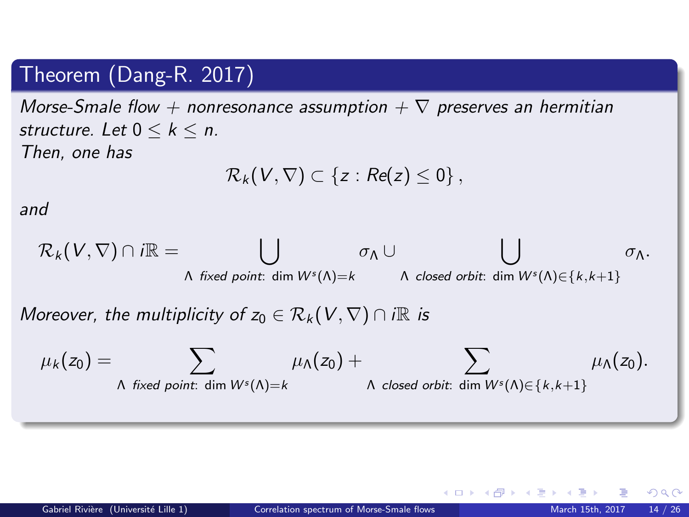## Theorem (Dang-R. 2017)

Morse-Smale flow + nonresonance assumption +  $\nabla$  preserves an hermitian structure. Let  $0 \leq k \leq n$ . Then, one has

$$
\mathcal{R}_k(V,\nabla)\subset\left\{z:Re(z)\leq 0\right\},\,
$$

and

$$
\mathcal{R}_k(V,\nabla)\cap i\mathbb{R}=\bigcup_{\Lambda \text{ fixed point}: \dim W^s(\Lambda)=k}\sigma_{\Lambda}\cup \bigcup_{\Lambda \text{ closed orbit}: \dim W^s(\Lambda)\in\{k,k+1\}}\sigma_{\Lambda}.
$$

Moreover, the multiplicity of  $z_0 \in \mathcal{R}_k(V, \nabla) \cap i\mathbb{R}$  is

$$
\mu_k(z_0) = \sum_{\Lambda \text{ fixed point: } \dim W^s(\Lambda) = k} \mu_{\Lambda}(z_0) + \sum_{\Lambda \text{ closed orbit: } \dim W^s(\Lambda) \in \{k, k+1\}} \mu_{\Lambda}(z_0).
$$

 $\Omega$ 

K ロ ▶ K 御 ▶ K 경 ▶ K 경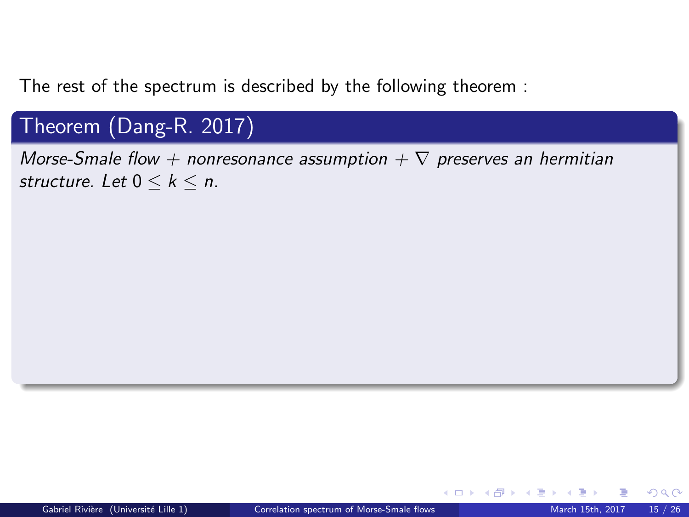The rest of the spectrum is described by the following theorem :

## Theorem (Dang-R. 2017)

Morse-Smale flow + nonresonance assumption  $+ \nabla$  preserves an hermitian structure. Let  $0 \leq k \leq n$ .

 $\Omega$ 

**K ロ ▶ K 何 ▶ K 手**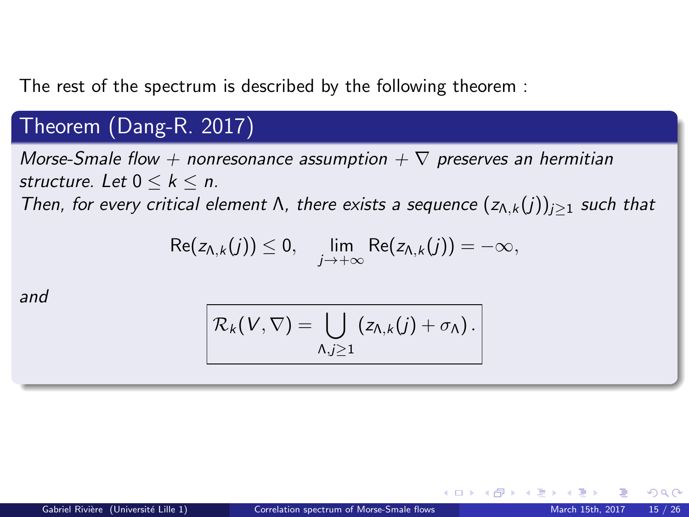The rest of the spectrum is described by the following theorem :

## Theorem (Dang-R. 2017)

Morse-Smale flow + nonresonance assumption  $+ \nabla$  preserves an hermitian structure. Let  $0 \leq k \leq n$ .

Then, for every critical element  $\Lambda$ , there exists a sequence  $(z_{\Lambda,k}(j))_{j\geq 1}$  such that

$$
\mathsf{Re}(z_{\Lambda,k}(j))\leq 0,\quad \lim_{j\to+\infty}\mathsf{Re}(z_{\Lambda,k}(j))=-\infty,
$$

and

$$
\mathcal{R}_k(V,\nabla)=\bigcup_{\Lambda,j\geq 1}\left(z_{\Lambda,k}(j)+\sigma_{\Lambda}\right).
$$

 $\Omega$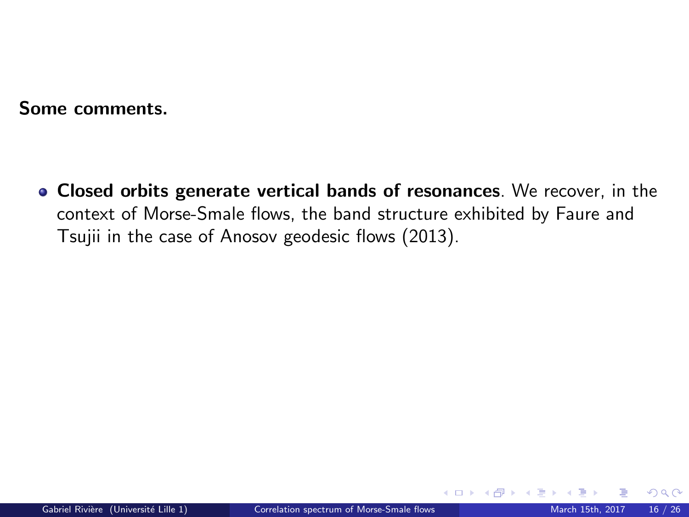Closed orbits generate vertical bands of resonances. We recover, in the context of Morse-Smale flows, the band structure exhibited by Faure and Tsujii in the case of Anosov geodesic flows (2013).

 $\Omega$ 

**K ロ ▶ K 何 ▶ K 手**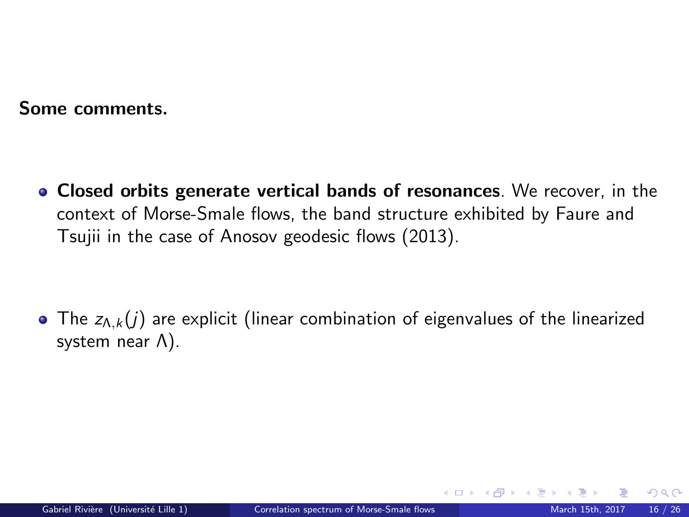• Closed orbits generate vertical bands of resonances. We recover, in the context of Morse-Smale flows, the band structure exhibited by Faure and Tsujii in the case of Anosov geodesic flows (2013).

<span id="page-40-0"></span>• The  $z_{\Lambda,k}(j)$  are explicit (linear combination of eigenvalues of the linearized system near Λ).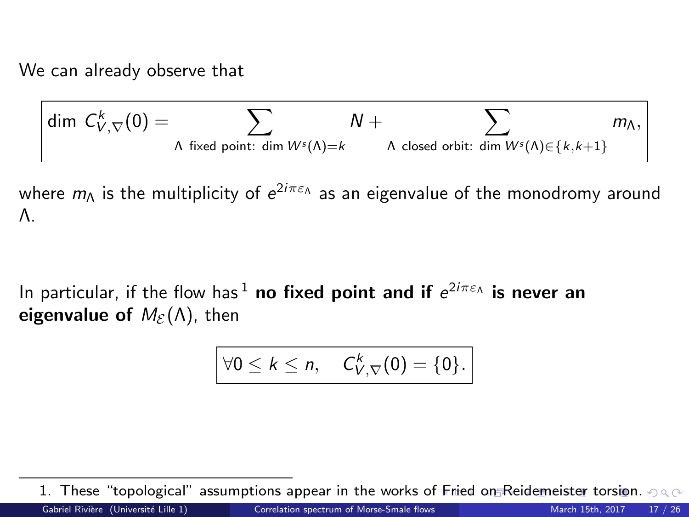We can already observe that

$$
\dim C_{V,\nabla}^k(0)=\sum_{\Lambda \text{ fixed point}: \dim W^s(\Lambda)=k} N+\sum_{\Lambda \text{ closed orbit}: \dim W^s(\Lambda)\in\{k,k+1\}} m_{\Lambda},
$$

where  $m_\Lambda$  is the multiplicity of  $e^{2i\pi\varepsilon_\Lambda}$  as an eigenvalue of the monodromy around Λ.

In particular, if the flow has  $^1$  no fixed point and if  $e^{2i\pi\varepsilon_\Lambda}$  is never an eigenvalue of  $M_{\varepsilon}(\Lambda)$ , then

<span id="page-41-0"></span>
$$
\forall 0 \leq k \leq n, \quad C_{V,\nabla}^k(0) = \{0\}.
$$

<sup>1.</sup> These "topological" assumptions appear in the works of [Fr](#page-40-0)i[ed](#page-42-0) [o](#page-40-0)[n R](#page-41-0)[e](#page-29-0)[id](#page-28-0)e[m](#page-41-0)[ei](#page-42-0)[st](#page-28-0)e[r](#page-41-0) [to](#page-42-0)[rsi](#page-0-0)[on.](#page-61-0)  $\circ \circ \circ$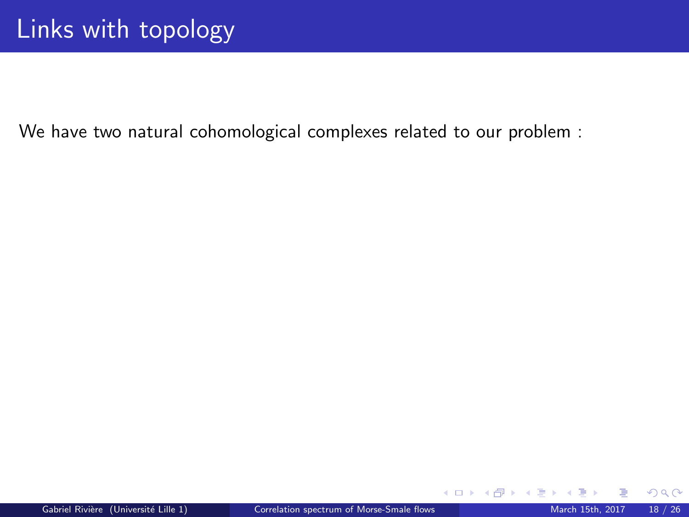We have two natural cohomological complexes related to our problem :

<span id="page-42-0"></span> $2Q$ 

**K ロ ト K 御 ト K 君 ト**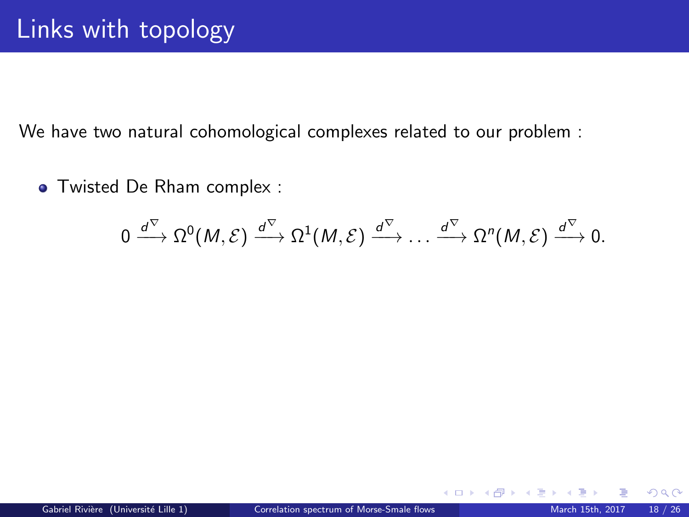We have two natural cohomological complexes related to our problem :

Twisted De Rham complex :

$$
0 \xrightarrow{d^{\nabla}} \Omega^0(M, \mathcal{E}) \xrightarrow{d^{\nabla}} \Omega^1(M, \mathcal{E}) \xrightarrow{d^{\nabla}} \dots \xrightarrow{d^{\nabla}} \Omega^n(M, \mathcal{E}) \xrightarrow{d^{\nabla}} 0.
$$

**K ロ ト K 倒 ト K 差 ト** 

 $QQ$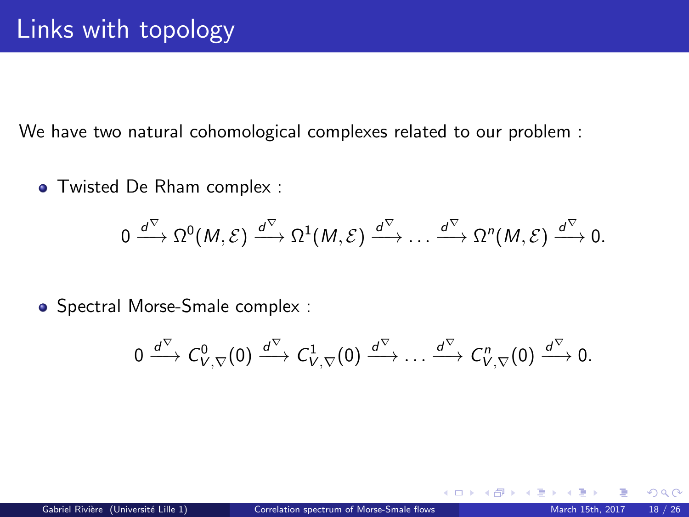We have two natural cohomological complexes related to our problem :

Twisted De Rham complex :

$$
0 \xrightarrow{d^{\nabla}} \Omega^0(M, \mathcal{E}) \xrightarrow{d^{\nabla}} \Omega^1(M, \mathcal{E}) \xrightarrow{d^{\nabla}} \dots \xrightarrow{d^{\nabla}} \Omega^n(M, \mathcal{E}) \xrightarrow{d^{\nabla}} 0.
$$

• Spectral Morse-Smale complex :

$$
0 \xrightarrow{d^{\nabla}} C^0_{V,\nabla}(0) \xrightarrow{d^{\nabla}} C^1_{V,\nabla}(0) \xrightarrow{d^{\nabla}} \dots \xrightarrow{d^{\nabla}} C^n_{V,\nabla}(0) \xrightarrow{d^{\nabla}} 0.
$$

 $\Omega$ 

**K ロ ▶ K 何 ▶ K 手**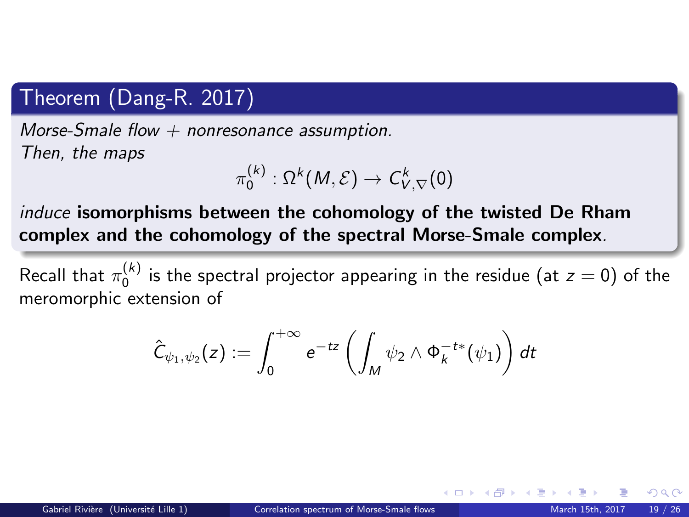## Theorem (Dang-R. 2017)

Morse-Smale flow  $+$  nonresonance assumption. Then, the maps

$$
\pi_0^{(k)}:\Omega^k(M,\mathcal{E})\to \mathsf{C}^k_{V,\nabla}(0)
$$

induce isomorphisms between the cohomology of the twisted De Rham complex and the cohomology of the spectral Morse-Smale complex.

Recall that  $\pi^{(k)}_0$  is the spectral projector appearing in the residue (at  $z=0)$  of the meromorphic extension of

$$
\hat{\mathsf{C}}_{\psi_1,\psi_2}(z):=\int_{0}^{+\infty}e^{-tz}\left(\int_M\psi_2\wedge\Phi_k^{-t*}(\psi_1)\right)dt
$$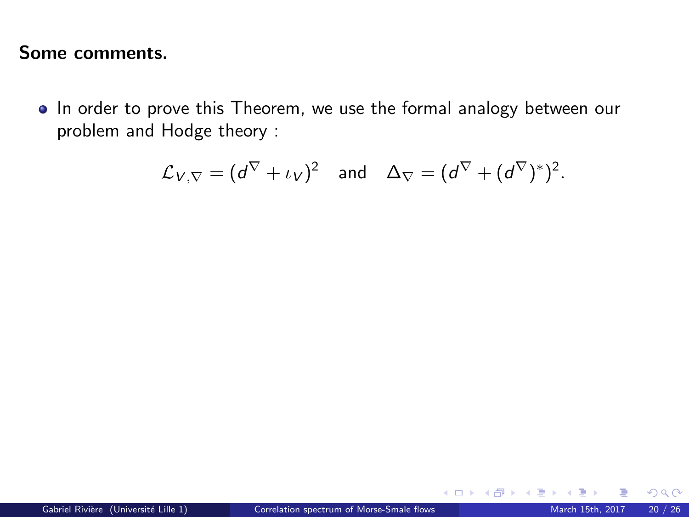• In order to prove this Theorem, we use the formal analogy between our problem and Hodge theory :

$$
\mathcal{L}_{V,\nabla} = (d^{\nabla} + \iota_V)^2
$$
 and  $\Delta_{\nabla} = (d^{\nabla} + (d^{\nabla})^*)^2$ .

 $QQ$ 

メロメ メタメ メミメス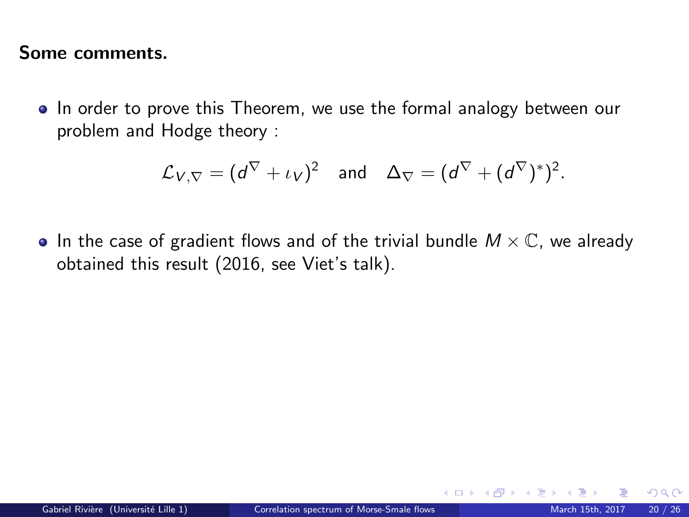• In order to prove this Theorem, we use the formal analogy between our problem and Hodge theory :

$$
\mathcal{L}_{V,\nabla} = (d^{\nabla} + \iota_V)^2
$$
 and  $\Delta_{\nabla} = (d^{\nabla} + (d^{\nabla})^*)^2$ .

• In the case of gradient flows and of the trivial bundle  $M \times \mathbb{C}$ , we already obtained this result (2016, see Viet's talk).

 $\Omega$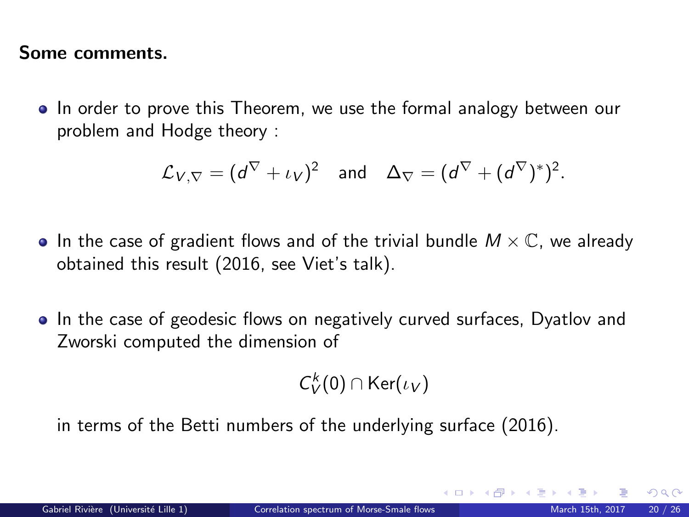• In order to prove this Theorem, we use the formal analogy between our problem and Hodge theory :

$$
\mathcal{L}_{V,\nabla} = (d^{\nabla} + \iota_V)^2
$$
 and  $\Delta_{\nabla} = (d^{\nabla} + (d^{\nabla})^*)^2$ .

- In the case of gradient flows and of the trivial bundle  $M \times \mathbb{C}$ , we already obtained this result (2016, see Viet's talk).
- In the case of geodesic flows on negatively curved surfaces, Dyatlov and Zworski computed the dimension of

$$
\mathcal{C}_V^k(0) \cap \mathsf{Ker}(\iota_V)
$$

in terms of the Betti numbers of the underlying surface (2016).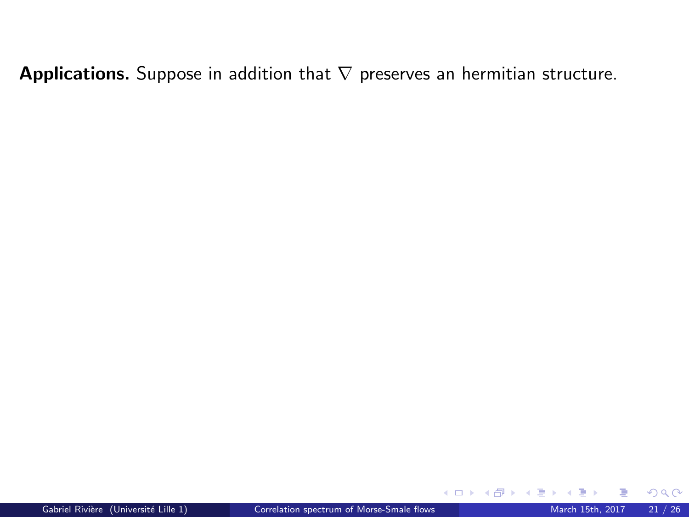Applications. Suppose in addition that  $\nabla$  preserves an hermitian structure.

 $299$ 

**K ロ ト K 倒 ト K 差 ト K**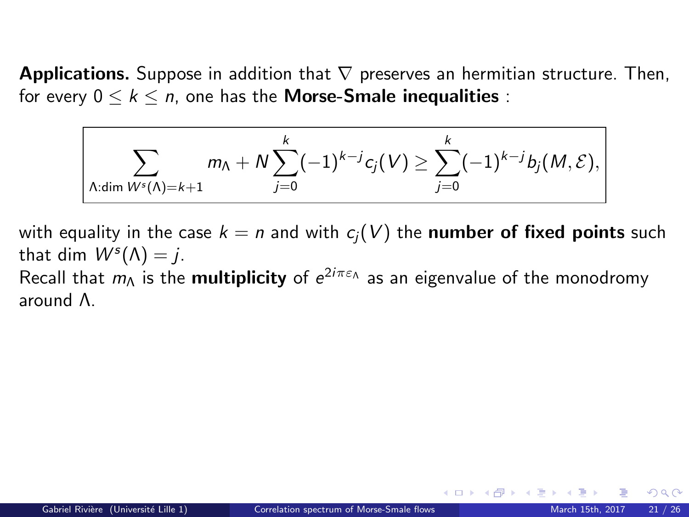**Applications.** Suppose in addition that  $\nabla$  preserves an hermitian structure. Then, for every  $0 \leq k \leq n$ , one has the **Morse-Smale inequalities**:

$$
\sum_{\Lambda:\dim W^s(\Lambda)=k+1} m_{\Lambda} + N \sum_{j=0}^{k} (-1)^{k-j} c_j(V) \geq \sum_{j=0}^{k} (-1)^{k-j} b_j(M,\mathcal{E}),
$$

with equality in the case  $k = n$  and with  $c<sub>i</sub>(V)$  the **number of fixed points** such that dim  $W<sup>s</sup>(\Lambda) = j$ . Recall that  $m_\Lambda$  is the **multiplicity** of  $e^{2i\pi\varepsilon_\Lambda}$  as an eigenvalue of the monodromy around Λ.

**K ロ ▶ K 何 ▶ K 手**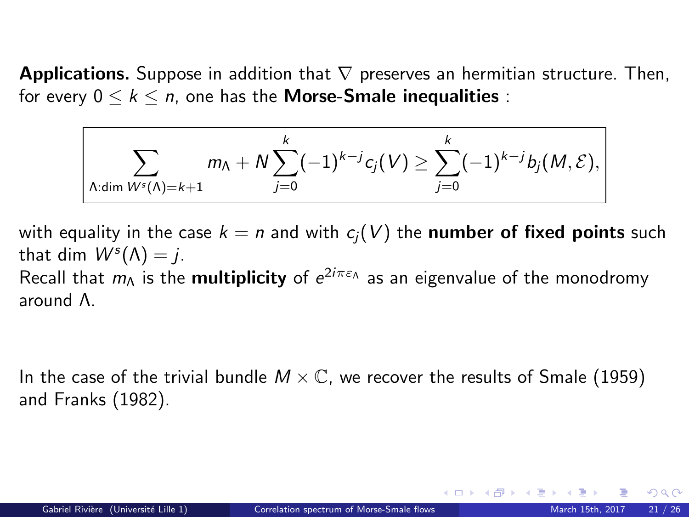**Applications.** Suppose in addition that  $\nabla$  preserves an hermitian structure. Then, for every  $0 \leq k \leq n$ , one has the **Morse-Smale inequalities**:

$$
\sum_{\Lambda:\dim W^s(\Lambda)=k+1} m_{\Lambda} + N \sum_{j=0}^k (-1)^{k-j} c_j(V) \geq \sum_{j=0}^k (-1)^{k-j} b_j(M,\mathcal{E}),
$$

with equality in the case  $k = n$  and with  $c_i(V)$  the **number of fixed points** such that dim  $W<sup>s</sup>(\Lambda) = j$ . Recall that  $m_\Lambda$  is the **multiplicity** of  $e^{2i\pi\varepsilon_\Lambda}$  as an eigenvalue of the monodromy around Λ.

In the case of the trivial bundle  $M \times \mathbb{C}$ , we recover the results of Smale (1959) and Franks (1982).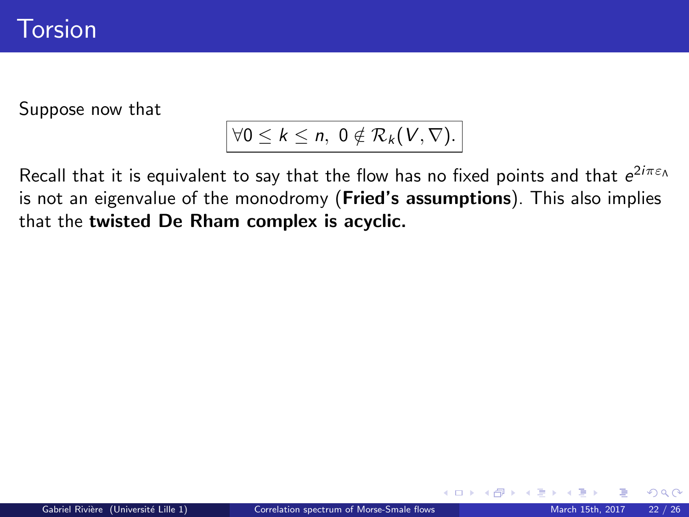## Torsion

Suppose now that

# $\forall 0 \leq k \leq n, \ 0 \notin \mathcal{R}_k(\mathcal{V}, \nabla).$

Recall that it is equivalent to say that the flow has no fixed points and that  $e^{2i\pi\varepsilon_\Lambda}$ is not an eigenvalue of the monodromy (**Fried's assumptions**). This also implies that the twisted De Rham complex is acyclic.

 $\Omega$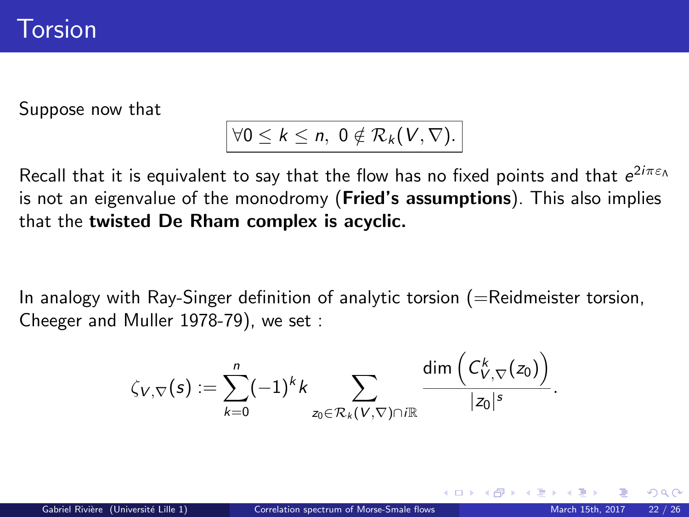## Torsion

Suppose now that

# $\forall 0 \leq k \leq n, \ 0 \notin \mathcal{R}_k(V, \nabla).$

Recall that it is equivalent to say that the flow has no fixed points and that  $e^{2i\pi\varepsilon_\Lambda}$ is not an eigenvalue of the monodromy (**Fried's assumptions**). This also implies that the twisted De Rham complex is acyclic.

In analogy with Ray-Singer definition of analytic torsion  $(=$ Reidmeister torsion, Cheeger and Muller 1978-79), we set :

$$
\zeta_{V,\nabla}(s):=\sum_{k=0}^n(-1)^kk\sum_{z_0\in\mathcal{R}_k(V,\nabla)\cap i\mathbb{R}}\frac{\text{dim}\left(\mathcal{C}^k_{V,\nabla}(z_0)\right)}{|z_0|^s}.
$$

 $\Omega$ 

K ロ ▶ K 御 ▶ K 경 ▶ K 경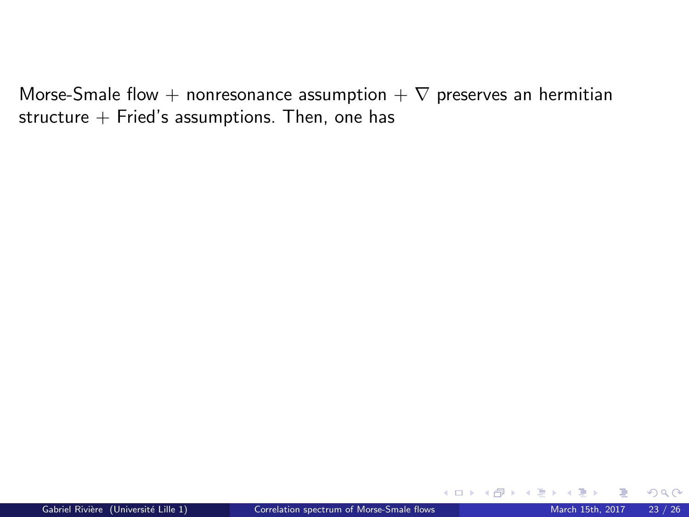Morse-Smale flow + nonresonance assumption +  $\nabla$  preserves an hermitian structure  $+$  Fried's assumptions. Then, one has

 $QQ$ 

メロメ メタメ メミメ メ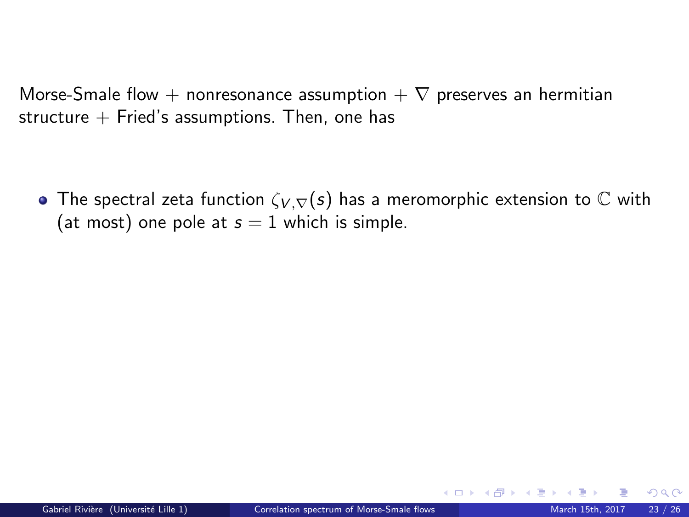Morse-Smale flow + nonresonance assumption  $+ \nabla$  preserves an hermitian structure  $+$  Fried's assumptions. Then, one has

• The spectral zeta function  $\zeta_{V,\nabla}(s)$  has a meromorphic extension to  $\mathbb C$  with (at most) one pole at  $s = 1$  which is simple.

 $\Omega$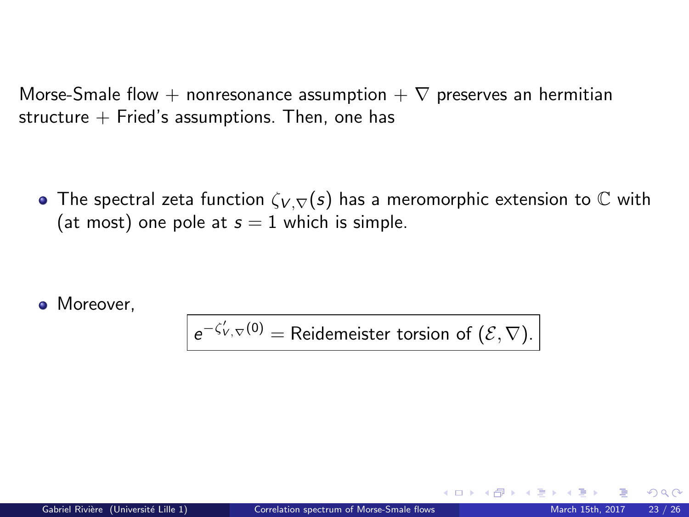Morse-Smale flow + nonresonance assumption  $+ \nabla$  preserves an hermitian structure  $+$  Fried's assumptions. Then, one has

**•** The spectral zeta function  $\zeta_{V,\nabla}(s)$  has a meromorphic extension to  $\mathbb C$  with (at most) one pole at  $s = 1$  which is simple.

• Moreover.

 $e^{-\zeta'_{V,\nabla}(0)} =$  Reidemeister torsion of  $(\mathcal{E}, \nabla)$ .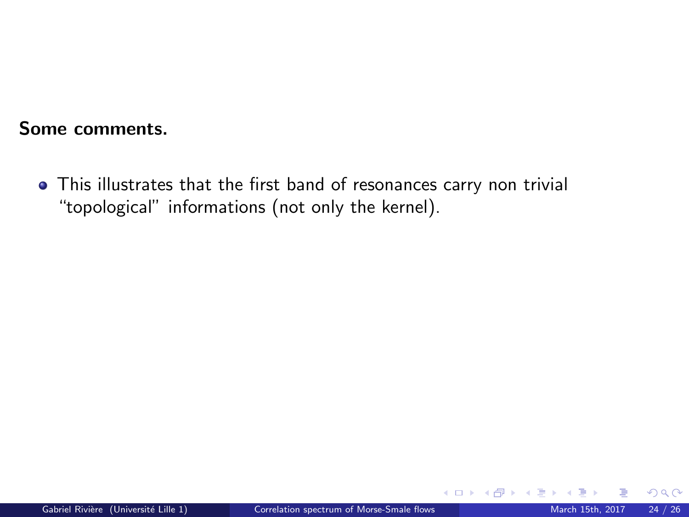This illustrates that the first band of resonances carry non trivial "topological" informations (not only the kernel).

 $\Omega$ 

**K ロ ト K 倒 ト K 差 ト**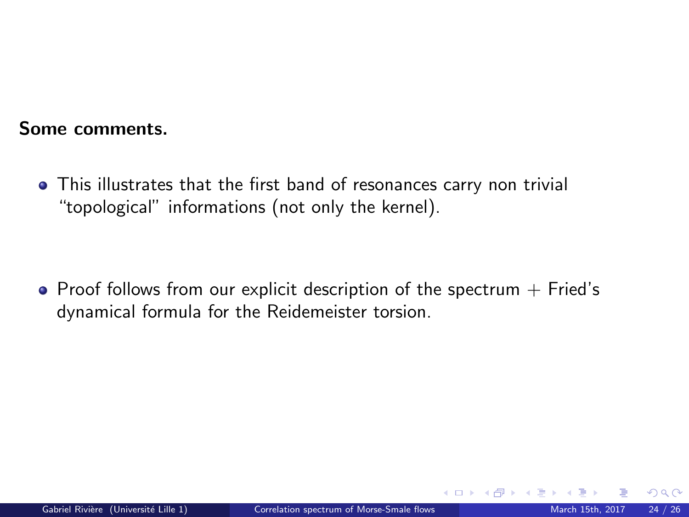This illustrates that the first band of resonances carry non trivial "topological" informations (not only the kernel).

 $\bullet$  Proof follows from our explicit description of the spectrum  $+$  Fried's dynamical formula for the Reidemeister torsion.

 $\Omega$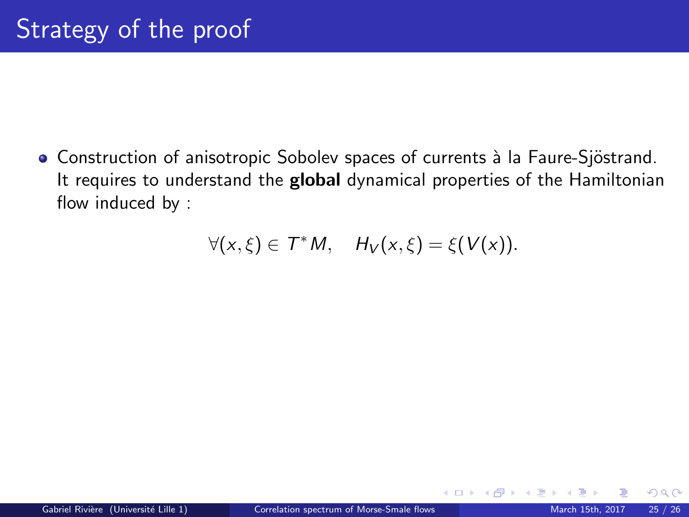• Construction of anisotropic Sobolev spaces of currents à la Faure-Sjöstrand. It requires to understand the global dynamical properties of the Hamiltonian flow induced by :

$$
\forall (x,\xi)\in \mathcal{T}^*M, \quad H_V(x,\xi)=\xi(V(x)).
$$

 $\Omega$ 

メロト メ都 トメ ミトメ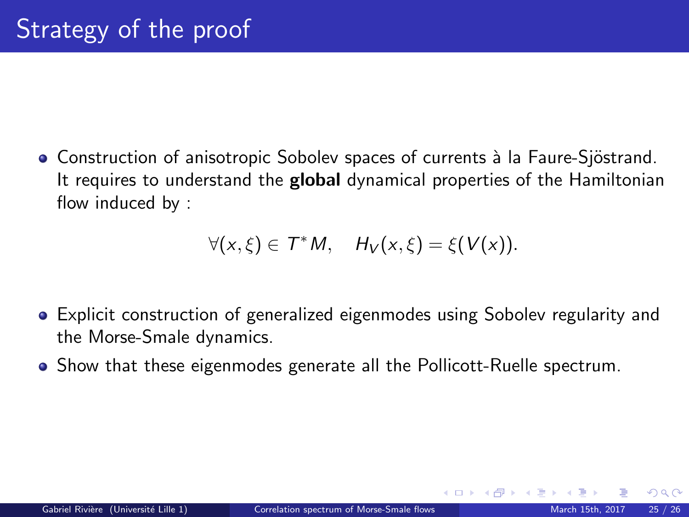• Construction of anisotropic Sobolev spaces of currents à la Faure-Sjöstrand. It requires to understand the **global** dynamical properties of the Hamiltonian flow induced by :

$$
\forall (x,\xi)\in \mathcal{T}^*M, \quad H_V(x,\xi)=\xi(V(x)).
$$

- Explicit construction of generalized eigenmodes using Sobolev regularity and the Morse-Smale dynamics.
- Show that these eigenmodes generate all the Pollicott-Ruelle spectrum.